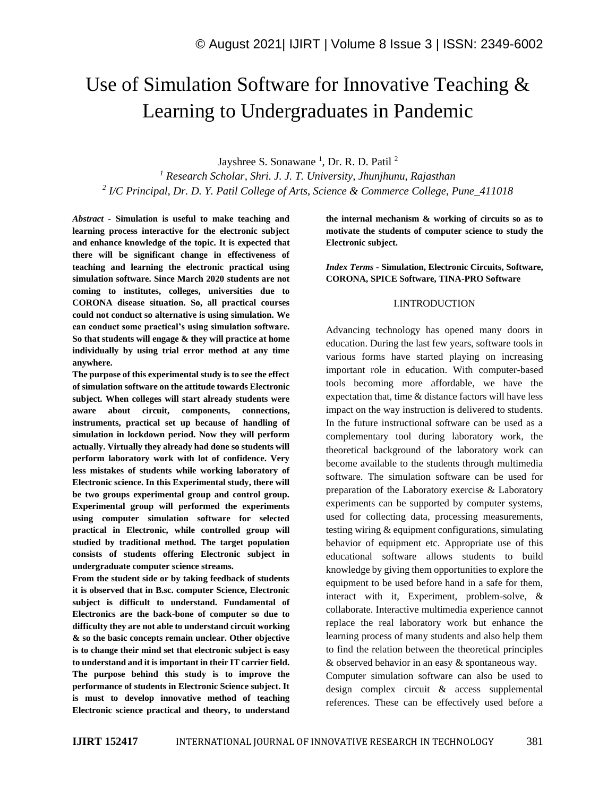# Use of Simulation Software for Innovative Teaching & Learning to Undergraduates in Pandemic

Jayshree S. Sonawane<sup>1</sup>, Dr. R. D. Patil<sup>2</sup>

*<sup>1</sup> Research Scholar, Shri. J. J. T. University, Jhunjhunu, Rajasthan 2 I/C Principal, Dr. D. Y. Patil College of Arts, Science & Commerce College, Pune\_411018*

*Abstract -* **Simulation is useful to make teaching and learning process interactive for the electronic subject and enhance knowledge of the topic. It is expected that there will be significant change in effectiveness of teaching and learning the electronic practical using simulation software. Since March 2020 students are not coming to institutes, colleges, universities due to CORONA disease situation. So, all practical courses could not conduct so alternative is using simulation. We can conduct some practical's using simulation software. So that students will engage & they will practice at home individually by using trial error method at any time anywhere.**

**The purpose of this experimental study is to see the effect of simulation software on the attitude towards Electronic subject. When colleges will start already students were aware about circuit, components, connections, instruments, practical set up because of handling of simulation in lockdown period. Now they will perform actually. Virtually they already had done so students will perform laboratory work with lot of confidence. Very less mistakes of students while working laboratory of Electronic science. In this Experimental study, there will be two groups experimental group and control group. Experimental group will performed the experiments using computer simulation software for selected practical in Electronic, while controlled group will studied by traditional method. The target population consists of students offering Electronic subject in undergraduate computer science streams.**

**From the student side or by taking feedback of students it is observed that in B.sc. computer Science, Electronic subject is difficult to understand. Fundamental of Electronics are the back-bone of computer so due to difficulty they are not able to understand circuit working & so the basic concepts remain unclear. Other objective is to change their mind set that electronic subject is easy to understand and it is important in their IT carrier field. The purpose behind this study is to improve the performance of students in Electronic Science subject. It is must to develop innovative method of teaching Electronic science practical and theory, to understand** 

**the internal mechanism & working of circuits so as to motivate the students of computer science to study the Electronic subject.**

*Index Terms -* **Simulation, Electronic Circuits, Software, CORONA, SPICE Software, TINA-PRO Software**

#### I.INTRODUCTION

Advancing technology has opened many doors in education. During the last few years, software tools in various forms have started playing on increasing important role in education. With computer-based tools becoming more affordable, we have the expectation that, time & distance factors will have less impact on the way instruction is delivered to students. In the future instructional software can be used as a complementary tool during laboratory work, the theoretical background of the laboratory work can become available to the students through multimedia software. The simulation software can be used for preparation of the Laboratory exercise & Laboratory experiments can be supported by computer systems, used for collecting data, processing measurements, testing wiring & equipment configurations, simulating behavior of equipment etc. Appropriate use of this educational software allows students to build knowledge by giving them opportunities to explore the equipment to be used before hand in a safe for them, interact with it, Experiment, problem-solve, & collaborate. Interactive multimedia experience cannot replace the real laboratory work but enhance the learning process of many students and also help them to find the relation between the theoretical principles & observed behavior in an easy & spontaneous way. Computer simulation software can also be used to design complex circuit & access supplemental references. These can be effectively used before a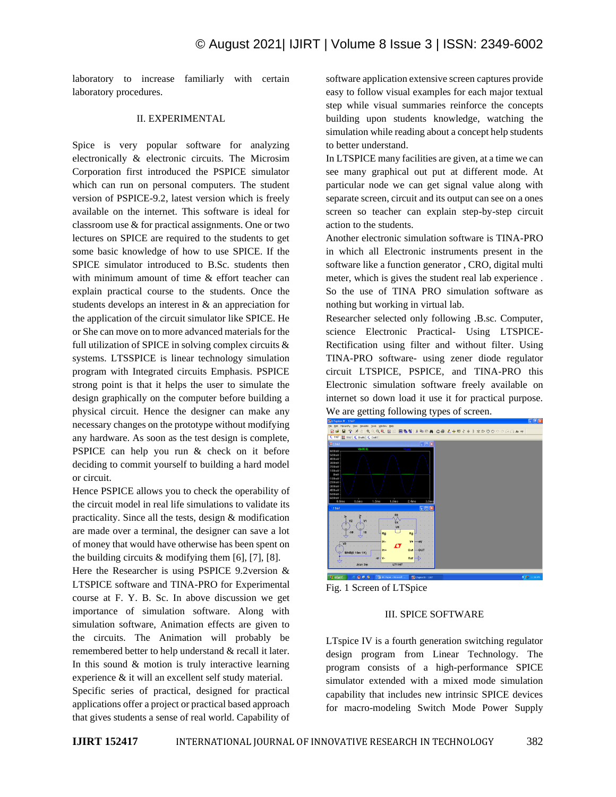laboratory to increase familiarly with certain laboratory procedures.

### II. EXPERIMENTAL

Spice is very popular software for analyzing electronically & electronic circuits. The Microsim Corporation first introduced the PSPICE simulator which can run on personal computers. The student version of PSPICE-9.2, latest version which is freely available on the internet. This software is ideal for classroom use & for practical assignments. One or two lectures on SPICE are required to the students to get some basic knowledge of how to use SPICE. If the SPICE simulator introduced to B.Sc. students then with minimum amount of time & effort teacher can explain practical course to the students. Once the students develops an interest in & an appreciation for the application of the circuit simulator like SPICE. He or She can move on to more advanced materials for the full utilization of SPICE in solving complex circuits  $\&$ systems. LTSSPICE is linear technology simulation program with Integrated circuits Emphasis. PSPICE strong point is that it helps the user to simulate the design graphically on the computer before building a physical circuit. Hence the designer can make any necessary changes on the prototype without modifying any hardware. As soon as the test design is complete, PSPICE can help you run & check on it before deciding to commit yourself to building a hard model or circuit.

Hence PSPICE allows you to check the operability of the circuit model in real life simulations to validate its practicality. Since all the tests, design & modification are made over a terminal, the designer can save a lot of money that would have otherwise has been spent on the building circuits  $&$  modifying them [6], [7], [8].

Here the Researcher is using PSPICE 9.2version & LTSPICE software and TINA-PRO for Experimental course at F. Y. B. Sc. In above discussion we get importance of simulation software. Along with simulation software, Animation effects are given to the circuits. The Animation will probably be remembered better to help understand & recall it later. In this sound  $&$  motion is truly interactive learning experience & it will an excellent self study material.

Specific series of practical, designed for practical applications offer a project or practical based approach that gives students a sense of real world. Capability of software application extensive screen captures provide easy to follow visual examples for each major textual step while visual summaries reinforce the concepts building upon students knowledge, watching the simulation while reading about a concept help students to better understand.

In LTSPICE many facilities are given, at a time we can see many graphical out put at different mode. At particular node we can get signal value along with separate screen, circuit and its output can see on a ones screen so teacher can explain step-by-step circuit action to the students.

Another electronic simulation software is TINA-PRO in which all Electronic instruments present in the software like a function generator , CRO, digital multi meter, which is gives the student real lab experience . So the use of TINA PRO simulation software as nothing but working in virtual lab.

Researcher selected only following .B.sc. Computer, science Electronic Practical- Using LTSPICE-Rectification using filter and without filter. Using TINA-PRO software- using zener diode regulator circuit LTSPICE, PSPICE, and TINA-PRO this Electronic simulation software freely available on internet so down load it use it for practical purpose. We are getting following types of screen.



Fig. 1 Screen of LTSpice

### III. SPICE SOFTWARE

LTspice IV is a fourth generation switching regulator design program from Linear Technology. The program consists of a high-performance SPICE simulator extended with a mixed mode simulation capability that includes new intrinsic SPICE devices for macro-modeling Switch Mode Power Supply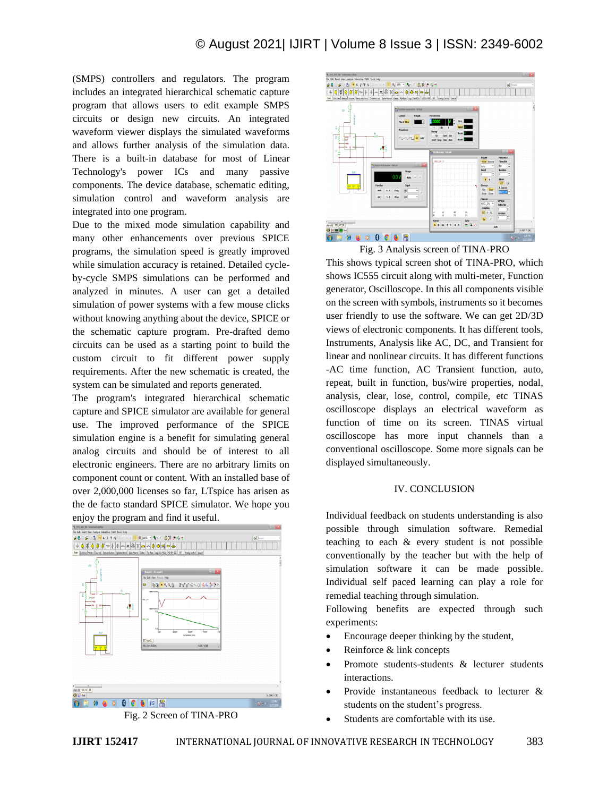(SMPS) controllers and regulators. The program includes an integrated hierarchical schematic capture program that allows users to edit example SMPS circuits or design new circuits. An integrated waveform viewer displays the simulated waveforms and allows further analysis of the simulation data. There is a built-in database for most of Linear Technology's power ICs and many passive components. The device database, schematic editing, simulation control and waveform analysis are integrated into one program.

Due to the mixed mode simulation capability and many other enhancements over previous SPICE programs, the simulation speed is greatly improved while simulation accuracy is retained. Detailed cycleby-cycle SMPS simulations can be performed and analyzed in minutes. A user can get a detailed simulation of power systems with a few mouse clicks without knowing anything about the device, SPICE or the schematic capture program. Pre-drafted demo circuits can be used as a starting point to build the custom circuit to fit different power supply requirements. After the new schematic is created, the system can be simulated and reports generated.

The program's integrated hierarchical schematic capture and SPICE simulator are available for general use. The improved performance of the SPICE simulation engine is a benefit for simulating general analog circuits and should be of interest to all electronic engineers. There are no arbitrary limits on component count or content. With an installed base of over 2,000,000 licenses so far, LTspice has arisen as the de facto standard SPICE simulator. We hope you enjoy the program and find it useful.







Fig. 3 Analysis screen of TINA-PRO This shows typical screen shot of TINA-PRO, which shows IC555 circuit along with multi-meter, Function generator, Oscilloscope. In this all components visible on the screen with symbols, instruments so it becomes user friendly to use the software. We can get 2D/3D views of electronic components. It has different tools, Instruments, Analysis like AC, DC, and Transient for linear and nonlinear circuits. It has different functions -AC time function, AC Transient function, auto, repeat, built in function, bus/wire properties, nodal, analysis, clear, lose, control, compile, etc TINAS oscilloscope displays an electrical waveform as function of time on its screen. TINAS virtual oscilloscope has more input channels than a conventional oscilloscope. Some more signals can be displayed simultaneously.

# IV. CONCLUSION

Individual feedback on students understanding is also possible through simulation software. Remedial teaching to each & every student is not possible conventionally by the teacher but with the help of simulation software it can be made possible. Individual self paced learning can play a role for remedial teaching through simulation.

Following benefits are expected through such experiments:

- Encourage deeper thinking by the student,
- Reinforce & link concepts
- Promote students-students & lecturer students interactions.
- Provide instantaneous feedback to lecturer & students on the student's progress.
- Students are comfortable with its use.